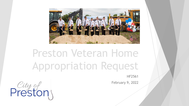

## Preston Veteran Home Appropriation Request

HF2561

February 9, 2022

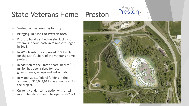## *City of* State Veterans Home - Preston

- 54-bed skilled nursing facility
- Bringing 100 jobs to Preston area
- Effort to build a skilled nursing facility for veterans in southeastern Minnesota began in 2013.
- In 2019 legislature approved  $$10.2$  million for the State's share of the Veterans Home project.
- In addition to the State's share, nearly \$1.2 million has been raised for local governments, groups and individuals.
- In March 2021, federal funding in the amount of \$20,943,911 was announced for the project.
- Currently under construction with an 18 month timeline. Plan to be open mid-2023.

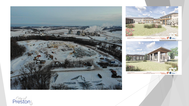